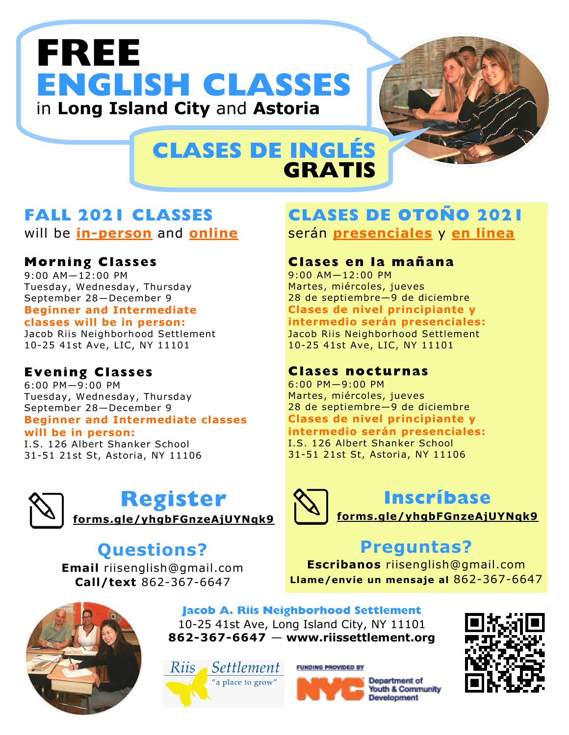# **FREE ENGLISH CLASSES**  in **Long Island City** and **Astoria**



## **CLASES DE INGLÉS GRATIS**

## **FALL 2021 CLASSES**

will be **in-person** and **online**

### **Morning Classes**

 $9:00$  AM $-12:00$  PM Tuesday, Wednesday, Thursday September 28—December 9 **Beginner and Intermediate classes will be in person:** 

#### Jacob Riis Neighborhood Settlement 10-25 41st Ave, LIC, NY 11101

### **Evening Classes**

6:00 PM—9:00 PM Tuesday, Wednesday, Thursday September 28—December 9 **Beginner and Intermediate classes** 

#### **will be in person:**

I.S. 126 Albert Shanker School 31-51 21st St, Astoria, NY 11106



## **Register**

**forms.gle/yhgbFGnzeAjUYNqk9** 

## **Questions?**

**Email** riisenglish@gmail.com **Call/text** 862-367-6647

## **CLASES DE OTOÑO 2021**  serán **presenciales** y **en linea**

### **Clases en la mañana**

9:00 AM—12:00 PM Martes, miércoles, jueves 28 de septiembre—9 de diciembre **Clases de nivel principiante y intermedio serán presenciales:**  Jacob Riis Neighborhood Settlement 10-25 41st Ave, LIC, NY 11101

#### **Clases nocturnas**

6:00 PM—9:00 PM Martes, miércoles, jueves 28 de septiembre—9 de diciembre **Clases de nivel principiante y intermedio serán presenciales:**  I.S. 126 Albert Shanker School 31-51 21st St, Astoria, NY 11106



## **Inscríbase**

**forms.gle/yhgbFGnzeAjUYNqk9** 

## **Preguntas?**

**Escribanos** riisenglish@gmail.com **Llame/envie un mensaje al** 862-367-6647



**Jacob A. Riis Neighborhood Settlement** 10-25 41st Ave, Long Island City, NY 11101 **862-367-6647** — **www.riissettlement.org**

Riis Settlement "a place to grow"

**FUNDING PROVIDED BY**